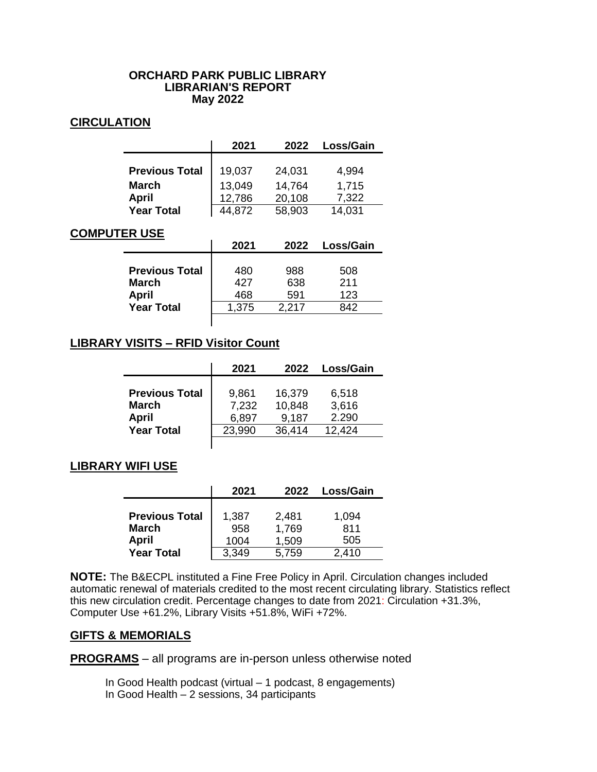### **ORCHARD PARK PUBLIC LIBRARY LIBRARIAN'S REPORT May 2022**

### **CIRCULATION**

|                       | 2021   | 2022   | Loss/Gain |
|-----------------------|--------|--------|-----------|
|                       |        |        |           |
| <b>Previous Total</b> | 19,037 | 24,031 | 4,994     |
| <b>March</b>          | 13,049 | 14,764 | 1,715     |
| <b>April</b>          | 12,786 | 20,108 | 7,322     |
| <b>Year Total</b>     | 4.872  | 58,903 | 14,031    |

### **COMPUTER USE**

|                              |                       | 2021              | 2022              | Loss/Gain         |
|------------------------------|-----------------------|-------------------|-------------------|-------------------|
| <b>March</b><br><b>April</b> | <b>Previous Total</b> | 480<br>427<br>468 | 988<br>638<br>591 | 508<br>211<br>123 |
|                              | <b>Year Total</b>     | 1,375             | 2.217             | 842               |

# **LIBRARY VISITS – RFID Visitor Count**

|                                                       | 2021                    | 2022                      | Loss/Gain               |
|-------------------------------------------------------|-------------------------|---------------------------|-------------------------|
| <b>Previous Total</b><br><b>March</b><br><b>April</b> | 9,861<br>7,232<br>6,897 | 16,379<br>10,848<br>9,187 | 6,518<br>3,616<br>2.290 |
| <b>Year Total</b>                                     | 23,990                  | 36,414                    | 12,424                  |

### **LIBRARY WIFI USE**

|                       | 2021  | 2022  | Loss/Gain |
|-----------------------|-------|-------|-----------|
|                       |       |       |           |
| <b>Previous Total</b> | 1,387 | 2,481 | 1,094     |
| <b>March</b>          | 958   | 1,769 | 811       |
| <b>April</b>          | 1004  | 1,509 | 505       |
| <b>Year Total</b>     | 3,349 | 5,759 | 2,410     |

**NOTE:** The B&ECPL instituted a Fine Free Policy in April. Circulation changes included automatic renewal of materials credited to the most recent circulating library. Statistics reflect this new circulation credit. Percentage changes to date from 2021: Circulation +31.3%, Computer Use +61.2%, Library Visits +51.8%, WiFi +72%.

### **GIFTS & MEMORIALS**

**PROGRAMS** – all programs are in-person unless otherwise noted

- In Good Health podcast (virtual 1 podcast, 8 engagements)
- In Good Health 2 sessions, 34 participants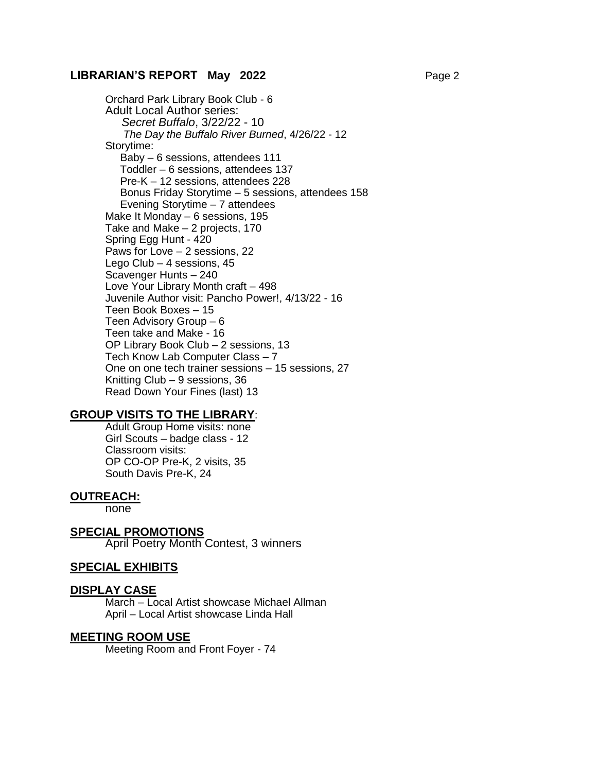### **LIBRARIAN'S REPORT May 2022** Page 2

Orchard Park Library Book Club - 6 Adult Local Author series:  *Secret Buffalo*, 3/22/22 - 10  *The Day the Buffalo River Burned*, 4/26/22 - 12 Storytime: Baby – 6 sessions, attendees 111 Toddler – 6 sessions, attendees 137 Pre-K – 12 sessions, attendees 228 Bonus Friday Storytime – 5 sessions, attendees 158 Evening Storytime – 7 attendees Make It Monday – 6 sessions, 195 Take and Make – 2 projects, 170 Spring Egg Hunt - 420 Paws for Love – 2 sessions, 22 Lego Club – 4 sessions, 45 Scavenger Hunts – 240 Love Your Library Month craft – 498 Juvenile Author visit: Pancho Power!, 4/13/22 - 16 Teen Book Boxes – 15 Teen Advisory Group – 6 Teen take and Make - 16 OP Library Book Club – 2 sessions, 13 Tech Know Lab Computer Class – 7 One on one tech trainer sessions – 15 sessions, 27 Knitting Club – 9 sessions, 36 Read Down Your Fines (last) 13

### **GROUP VISITS TO THE LIBRARY**:

Adult Group Home visits: none Girl Scouts – badge class - 12 Classroom visits: OP CO-OP Pre-K, 2 visits, 35 South Davis Pre-K, 24

#### **OUTREACH:**

none

#### **SPECIAL PROMOTIONS**

April Poetry Month Contest, 3 winners

#### **SPECIAL EXHIBITS**

#### **DISPLAY CASE**

March – Local Artist showcase Michael Allman April – Local Artist showcase Linda Hall

### **MEETING ROOM USE**

Meeting Room and Front Foyer - 74